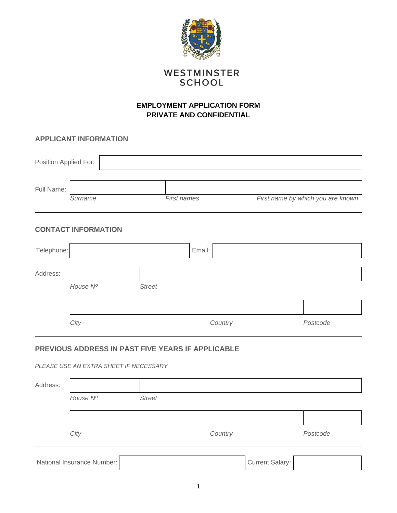

# WESTMINSTER **SCHOOL**

# **EMPLOYMENT APPLICATION FORM PRIVATE AND CONFIDENTIAL**

## **APPLICANT INFORMATION**

| Position Applied For: |         |                    |                                   |
|-----------------------|---------|--------------------|-----------------------------------|
| Full Name:            |         |                    |                                   |
|                       | Surname | <b>First names</b> | First name by which you are known |

## **CONTACT INFORMATION**

| Telephone: |          |               |  | Email:  |          |  |  |
|------------|----------|---------------|--|---------|----------|--|--|
| Address:   |          |               |  |         |          |  |  |
|            | House Nº | <b>Street</b> |  |         |          |  |  |
|            |          |               |  |         |          |  |  |
|            | City     |               |  | Country | Postcode |  |  |

# **PREVIOUS ADDRESS IN PAST FIVE YEARS IF APPLICABLE**

*PLEASE USE AN EXTRA SHEET IF NECESSARY*

| Address:                   |          |               |         |                        |          |
|----------------------------|----------|---------------|---------|------------------------|----------|
|                            | House Nº | <b>Street</b> |         |                        |          |
|                            |          |               |         |                        |          |
|                            | City     |               | Country |                        | Postcode |
| National Insurance Number: |          |               |         | <b>Current Salary:</b> |          |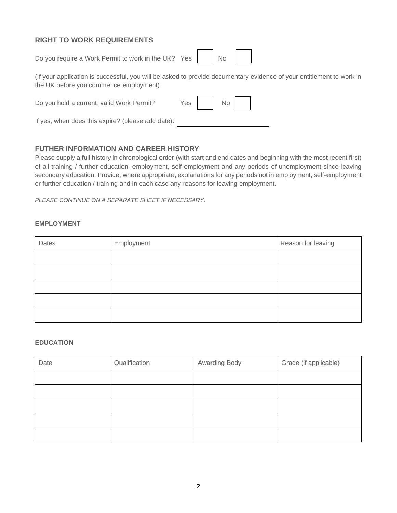## **RIGHT TO WORK REQUIREMENTS**

Do you require a Work Permit to work in the UK? Yes | No

(If your application is successful, you will be asked to provide documentary evidence of your entitlement to work in the UK before you commence employment)

Do you hold a current, valid Work Permit? Yes | No

If yes, when does this expire? (please add date):

## **FUTHER INFORMATION AND CAREER HISTORY**

Please supply a full history in chronological order (with start and end dates and beginning with the most recent first) of all training / further education, employment, self-employment and any periods of unemployment since leaving secondary education. Provide, where appropriate, explanations for any periods not in employment, self-employment or further education / training and in each case any reasons for leaving employment.

*PLEASE CONTINUE ON A SEPARATE SHEET IF NECESSARY.*

#### **EMPLOYMENT**

| Dates | Employment | Reason for leaving |
|-------|------------|--------------------|
|       |            |                    |
|       |            |                    |
|       |            |                    |
|       |            |                    |
|       |            |                    |

#### **EDUCATION**

| Date | Qualification | Awarding Body | Grade (if applicable) |
|------|---------------|---------------|-----------------------|
|      |               |               |                       |
|      |               |               |                       |
|      |               |               |                       |
|      |               |               |                       |
|      |               |               |                       |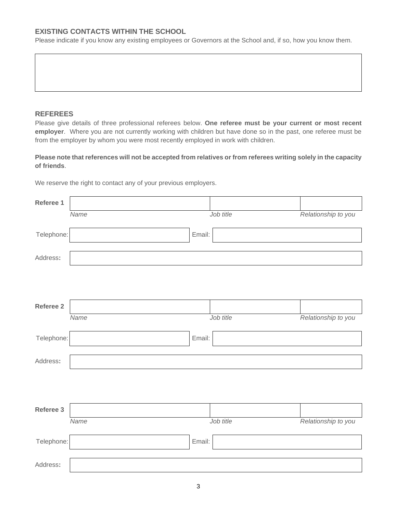## **EXISTING CONTACTS WITHIN THE SCHOOL**

Please indicate if you know any existing employees or Governors at the School and, if so, how you know them.

### **REFEREES**

Please give details of three professional referees below. **One referee must be your current or most recent employer**. Where you are not currently working with children but have done so in the past, one referee must be from the employer by whom you were most recently employed in work with children.

**Please note that references will not be accepted from relatives or from referees writing solely in the capacity of friends**.

We reserve the right to contact any of your previous employers.

| Referee 1  |      |        |           |                     |
|------------|------|--------|-----------|---------------------|
|            | Name |        | Job title | Relationship to you |
| Telephone: |      | Email: |           |                     |
| Address:   |      |        |           |                     |
|            |      |        |           |                     |
|            |      |        |           |                     |
| Referee 2  |      |        |           |                     |
|            | Name |        | Job title | Relationship to you |
| Telephone: |      | Email: |           |                     |
| Address:   |      |        |           |                     |
|            |      |        |           |                     |
|            |      |        |           |                     |
| Referee 3  |      |        |           |                     |
|            | Name |        | Job title | Relationship to you |
| Telephone: |      | Email: |           |                     |
| Address:   |      |        |           |                     |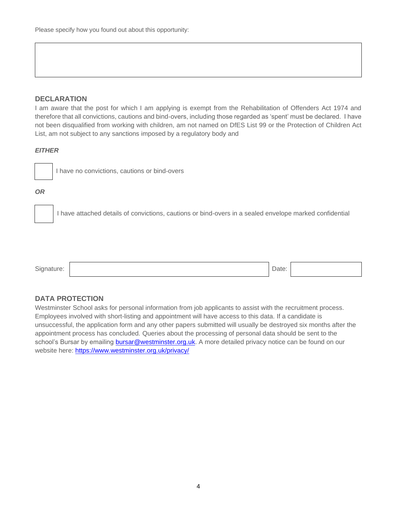### **DECLARATION**

I am aware that the post for which I am applying is exempt from the Rehabilitation of Offenders Act 1974 and therefore that all convictions, cautions and bind-overs, including those regarded as 'spent' must be declared. I have not been disqualified from working with children, am not named on DfES List 99 or the Protection of Children Act List, am not subject to any sanctions imposed by a regulatory body and

#### *EITHER*



I have no convictions, cautions or bind-overs

#### *OR*

I have attached details of convictions, cautions or bind-overs in a sealed envelope marked confidential



## **DATA PROTECTION**

Westminster School asks for personal information from job applicants to assist with the recruitment process. Employees involved with short-listing and appointment will have access to this data. If a candidate is unsuccessful, the application form and any other papers submitted will usually be destroyed six months after the appointment process has concluded. Queries about the processing of personal data should be sent to the school's Bursar by emailing **bursar@westminster.org.uk**. A more detailed privacy notice can be found on our website here:<https://www.westminster.org.uk/privacy/>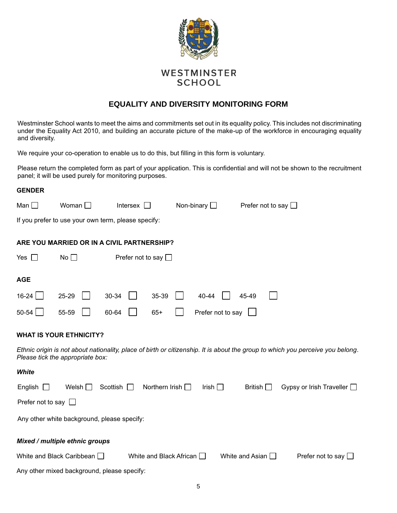

# WESTMINSTER **SCHOOL**

## **EQUALITY AND DIVERSITY MONITORING FORM**

Westminster School wants to meet the aims and commitments set out in its equality policy. This includes not discriminating under the Equality Act 2010, and building an accurate picture of the make-up of the workforce in encouraging equality and diversity.

We require your co-operation to enable us to do this, but filling in this form is voluntary.

Please return the completed form as part of your application. This is confidential and will not be shown to the recruitment panel; it will be used purely for monitoring purposes.

| <b>GENDER</b>                                                                                                            |                                  |                                                     |                   |                             |                                                                                                                                |  |  |
|--------------------------------------------------------------------------------------------------------------------------|----------------------------------|-----------------------------------------------------|-------------------|-----------------------------|--------------------------------------------------------------------------------------------------------------------------------|--|--|
| Man $\square$                                                                                                            | Woman $\Box$                     | Intersex $\Box$                                     | Non-binary $\Box$ | Prefer not to say $\square$ |                                                                                                                                |  |  |
|                                                                                                                          |                                  | If you prefer to use your own term, please specify: |                   |                             |                                                                                                                                |  |  |
|                                                                                                                          |                                  | ARE YOU MARRIED OR IN A CIVIL PARTNERSHIP?          |                   |                             |                                                                                                                                |  |  |
| Yes $\Box$                                                                                                               | No                               | Prefer not to say $\square$                         |                   |                             |                                                                                                                                |  |  |
| <b>AGE</b>                                                                                                               |                                  |                                                     |                   |                             |                                                                                                                                |  |  |
| 16-24                                                                                                                    | 25-29                            | 35-39<br>30-34                                      | 40-44             | 45-49                       |                                                                                                                                |  |  |
| 50-54                                                                                                                    | 55-59                            | 60-64<br>$65+$                                      | Prefer not to say |                             |                                                                                                                                |  |  |
|                                                                                                                          | <b>WHAT IS YOUR ETHNICITY?</b>   |                                                     |                   |                             |                                                                                                                                |  |  |
|                                                                                                                          | Please tick the appropriate box: |                                                     |                   |                             | Ethnic origin is not about nationality, place of birth or citizenship. It is about the group to which you perceive you belong. |  |  |
| White                                                                                                                    |                                  |                                                     |                   |                             |                                                                                                                                |  |  |
| English                                                                                                                  | Welsh $\Box$                     | Northern Irish $\Box$<br>Scottish $\Box$            | Irish $\Box$      | British $\Box$              | Gypsy or Irish Traveller $\Box$                                                                                                |  |  |
| Prefer not to say $\Box$                                                                                                 |                                  |                                                     |                   |                             |                                                                                                                                |  |  |
| Any other white background, please specify:                                                                              |                                  |                                                     |                   |                             |                                                                                                                                |  |  |
| Mixed / multiple ethnic groups                                                                                           |                                  |                                                     |                   |                             |                                                                                                                                |  |  |
| White and Black Caribbean $\Box$<br>White and Black African $\Box$<br>White and Asian $\Box$<br>Prefer not to say $\Box$ |                                  |                                                     |                   |                             |                                                                                                                                |  |  |
| Any other mixed background, please specify:                                                                              |                                  |                                                     |                   |                             |                                                                                                                                |  |  |